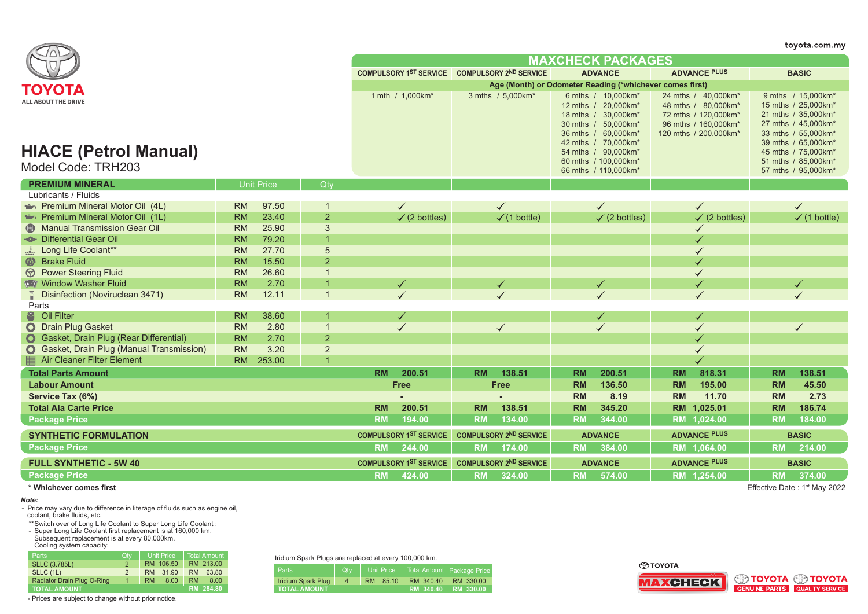|                                                                                  |                        |                   |                                  |                               |                                                          |                               |                               |                |                                                                                                                                                                                       |                     |                                                                                                                     |                        | toyota.com.my                                                                                                                                                                       |
|----------------------------------------------------------------------------------|------------------------|-------------------|----------------------------------|-------------------------------|----------------------------------------------------------|-------------------------------|-------------------------------|----------------|---------------------------------------------------------------------------------------------------------------------------------------------------------------------------------------|---------------------|---------------------------------------------------------------------------------------------------------------------|------------------------|-------------------------------------------------------------------------------------------------------------------------------------------------------------------------------------|
|                                                                                  |                        |                   |                                  | <b>MAXCHECK PACKAGES</b>      |                                                          |                               |                               |                |                                                                                                                                                                                       |                     |                                                                                                                     |                        |                                                                                                                                                                                     |
|                                                                                  |                        |                   |                                  |                               | COMPULSORY 1ST SERVICE COMPULSORY 2ND SERVICE            |                               |                               |                | <b>ADVANCE</b>                                                                                                                                                                        |                     | <b>ADVANCE PLUS</b>                                                                                                 |                        | <b>BASIC</b>                                                                                                                                                                        |
| ΤΟΥΟΤΑ                                                                           |                        |                   |                                  |                               | Age (Month) or Odometer Reading (*whichever comes first) |                               |                               |                |                                                                                                                                                                                       |                     |                                                                                                                     |                        |                                                                                                                                                                                     |
| <b>ALL ABOUT THE DRIVE</b><br><b>HIACE (Petrol Manual)</b><br>Model Code: TRH203 |                        |                   |                                  |                               | 1 mth / 1,000km*                                         |                               | 3 mths / 5,000km*             |                | 6 mths / 10,000 km*<br>12 mths / 20,000km*<br>18 mths / 30,000km*<br>30 mths / 50,000km*<br>36 mths / 60,000km*<br>42 mths / 70,000km*<br>54 mths / 90,000km*<br>60 mths / 100,000km* |                     | 24 mths / 40,000km*<br>48 mths / 80,000km*<br>72 mths / 120,000km*<br>96 mths / 160,000km*<br>120 mths / 200,000km* |                        | 9 mths / 15,000km*<br>15 mths / 25,000km*<br>21 mths / 35,000km*<br>27 mths / 45,000km*<br>33 mths / 55,000km*<br>39 mths / 65,000km*<br>45 mths / 75,000km*<br>51 mths / 85,000km* |
|                                                                                  |                        |                   |                                  |                               |                                                          |                               |                               |                | 66 mths / 110,000km*                                                                                                                                                                  |                     |                                                                                                                     |                        | 57 mths / 95,000km*                                                                                                                                                                 |
| <b>PREMIUM MINERAL</b>                                                           |                        | <b>Unit Price</b> | Otv                              |                               |                                                          |                               |                               |                |                                                                                                                                                                                       |                     |                                                                                                                     |                        |                                                                                                                                                                                     |
| Lubricants / Fluids                                                              |                        |                   |                                  |                               |                                                          |                               |                               |                |                                                                                                                                                                                       |                     |                                                                                                                     |                        |                                                                                                                                                                                     |
| Premium Mineral Motor Oil (4L)                                                   | <b>RM</b>              | 97.50             |                                  |                               |                                                          |                               |                               |                |                                                                                                                                                                                       |                     |                                                                                                                     |                        |                                                                                                                                                                                     |
| Premium Mineral Motor Oil (1L)                                                   | <b>RM</b>              | 23.40             | $\overline{2}$                   |                               | $\checkmark$ (2 bottles)                                 |                               | $\checkmark$ (1 bottle)       |                | $\checkmark$ (2 bottles)                                                                                                                                                              |                     | $\checkmark$ (2 bottles)                                                                                            |                        | $\checkmark$ (1 bottle)                                                                                                                                                             |
| Manual Transmission Gear Oil<br>- <sup>®</sup> Differential Gear Oil             | <b>RM</b><br><b>RM</b> | 25.90             | 3<br>$\overline{1}$              |                               |                                                          |                               |                               |                |                                                                                                                                                                                       |                     |                                                                                                                     |                        |                                                                                                                                                                                     |
|                                                                                  |                        | 79.20<br>27.70    |                                  |                               |                                                          |                               |                               |                |                                                                                                                                                                                       |                     |                                                                                                                     |                        |                                                                                                                                                                                     |
| Long Life Coolant**                                                              | <b>RM</b>              |                   | 5                                |                               |                                                          |                               |                               |                |                                                                                                                                                                                       |                     |                                                                                                                     |                        |                                                                                                                                                                                     |
| <b>&amp;</b> Brake Fluid                                                         | <b>RM</b>              | 15.50             | $\overline{2}$<br>$\overline{1}$ |                               |                                                          |                               |                               |                |                                                                                                                                                                                       |                     |                                                                                                                     |                        |                                                                                                                                                                                     |
| <b> Power Steering Fluid</b>                                                     | <b>RM</b>              | 26.60             |                                  |                               |                                                          |                               |                               |                |                                                                                                                                                                                       |                     |                                                                                                                     |                        |                                                                                                                                                                                     |
| Window Washer Fluid                                                              | <b>RM</b>              | 2.70              | $\overline{1}$                   |                               | $\checkmark$                                             |                               | $\checkmark$                  |                | $\checkmark$                                                                                                                                                                          |                     |                                                                                                                     |                        | $\checkmark$                                                                                                                                                                        |
| Disinfection (Noviruclean 3471)                                                  | <b>RM</b>              | 12.11             |                                  |                               |                                                          |                               |                               |                |                                                                                                                                                                                       |                     |                                                                                                                     |                        |                                                                                                                                                                                     |
| Parts<br><sup>8</sup> Oil Filter                                                 | <b>RM</b>              | 38.60             |                                  |                               |                                                          |                               |                               |                | $\checkmark$                                                                                                                                                                          |                     |                                                                                                                     |                        |                                                                                                                                                                                     |
| <b>O</b> Drain Plug Gasket                                                       | <b>RM</b>              | 2.80              | $\overline{1}$                   |                               |                                                          |                               |                               |                |                                                                                                                                                                                       |                     |                                                                                                                     |                        |                                                                                                                                                                                     |
| <b>O</b> Gasket, Drain Plug (Rear Differential)                                  | <b>RM</b>              | 2.70              | $\overline{2}$                   |                               |                                                          |                               |                               |                |                                                                                                                                                                                       |                     |                                                                                                                     |                        |                                                                                                                                                                                     |
| <b>O</b> Gasket, Drain Plug (Manual Transmission)                                | <b>RM</b>              | 3.20              | $\overline{2}$                   |                               |                                                          |                               |                               |                |                                                                                                                                                                                       |                     |                                                                                                                     |                        |                                                                                                                                                                                     |
| <b>Air Cleaner Filter Element</b>                                                | <b>RM</b>              | 253.00            |                                  |                               |                                                          |                               |                               |                |                                                                                                                                                                                       |                     |                                                                                                                     |                        |                                                                                                                                                                                     |
|                                                                                  |                        |                   |                                  |                               |                                                          |                               |                               |                |                                                                                                                                                                                       |                     |                                                                                                                     |                        | 138.51                                                                                                                                                                              |
| <b>Total Parts Amount</b>                                                        |                        |                   |                                  | <b>RM</b>                     | 200.51                                                   | <b>RM</b>                     | 138.51                        | <b>RM</b>      | 200.51<br>136.50                                                                                                                                                                      | <b>RM</b>           | 818.31<br>195.00                                                                                                    | <b>RM</b><br><b>RM</b> | 45.50                                                                                                                                                                               |
| <b>Labour Amount</b>                                                             |                        |                   |                                  |                               | <b>Free</b>                                              |                               | <b>Free</b>                   | <b>RM</b>      |                                                                                                                                                                                       | <b>RM</b>           |                                                                                                                     |                        |                                                                                                                                                                                     |
| Service Tax (6%)                                                                 |                        |                   |                                  |                               |                                                          |                               |                               | <b>RM</b>      | 8.19                                                                                                                                                                                  | <b>RM</b>           | 11.70                                                                                                               | <b>RM</b>              | 2.73                                                                                                                                                                                |
| <b>Total Ala Carte Price</b>                                                     |                        |                   |                                  | <b>RM</b>                     | 200.51                                                   | <b>RM</b>                     | 138.51                        | <b>RM</b>      | 345.20                                                                                                                                                                                |                     | RM 1,025.01                                                                                                         | <b>RM</b>              | 186.74                                                                                                                                                                              |
| <b>Package Price</b>                                                             |                        |                   |                                  | <b>RM</b>                     | 194.00                                                   | <b>RM</b>                     | 134.00                        | <b>RM</b>      | 344.00                                                                                                                                                                                |                     | RM 1,024.00                                                                                                         | <b>RM</b>              | 184.00                                                                                                                                                                              |
| <b>SYNTHETIC FORMULATION</b>                                                     |                        |                   |                                  | <b>COMPULSORY 1ST SERVICE</b> |                                                          | <b>COMPULSORY 2ND SERVICE</b> |                               | <b>ADVANCE</b> |                                                                                                                                                                                       | <b>ADVANCE PLUS</b> |                                                                                                                     | <b>BASIC</b>           |                                                                                                                                                                                     |
| <b>Package Price</b>                                                             |                        |                   |                                  | <b>RM</b>                     | 244.00                                                   | <b>RM</b>                     | 174.00                        | <b>RM</b>      | 384.00                                                                                                                                                                                |                     | RM 1,064.00                                                                                                         | <b>RM</b>              | 214.00                                                                                                                                                                              |
| <b>FULL SYNTHETIC - 5W 40</b>                                                    |                        |                   |                                  |                               | <b>COMPULSORY 1ST SERVICE</b>                            |                               | <b>COMPULSORY 2ND SERVICE</b> |                | <b>ADVANCE</b>                                                                                                                                                                        |                     | <b>ADVANCE PLUS</b>                                                                                                 |                        | <b>BASIC</b>                                                                                                                                                                        |
| <b>Package Price</b>                                                             |                        |                   |                                  | <b>RM</b>                     | 424.00                                                   | <b>RM</b>                     | 324.00                        | <b>RM</b>      | 574.00                                                                                                                                                                                |                     | RM 1,254.00                                                                                                         | <b>RM</b>              | 374.00                                                                                                                                                                              |
| * Whichever comes first                                                          |                        |                   |                                  |                               |                                                          |                               |                               |                |                                                                                                                                                                                       |                     |                                                                                                                     |                        | Effective Date: 1 <sup>st</sup> May 2022                                                                                                                                            |

*Note:*

- Price may vary due to difference in literage of fluids such as engine oil, coolant, brake fluids, etc.

\*\*Switch over of Long Life Coolant to Super Long Life Coolant :

- Super Long Life Coolant first replacement is at 160,000 km. Subsequent replacement is at every 80,000km.

Cooling system capacity:

| <b>Parts</b>               | <b>Qtv</b>    | <b>Unit Price</b>  | <b>Total Amount</b> |
|----------------------------|---------------|--------------------|---------------------|
| <b>SLLC (3.785L)</b>       | 2             | RM 106.50          | RM 213.00           |
| SLLC (1L)                  | $\mathcal{P}$ | 31.90<br><b>RM</b> | 63.80<br><b>RM</b>  |
| Radiator Drain Plug O-Ring | $\mathbf{1}$  | 8.00<br><b>RM</b>  | <b>RM</b><br>8.00   |
| <b>TOTAL AMOUNT</b>        |               |                    | RM 284.80           |

- Prices are subject to change without prior notice.

Iridium Spark Plugs are replaced at every 100,000 km.

| <b>Parts</b>        | <b>Qtv</b> | <b>Unit Price</b> | Total Amount Package Price |           |  |  |  |  |  |  |  |
|---------------------|------------|-------------------|----------------------------|-----------|--|--|--|--|--|--|--|
| Iridium Spark Plug  | 4          | 85.10<br>RM       | RM 340.40                  | RM 330.00 |  |  |  |  |  |  |  |
| <b>TOTAL AMOUNT</b> |            |                   | ′ RM 340.40 ∣ RM 330.00.   |           |  |  |  |  |  |  |  |

**O TOYOTA** 



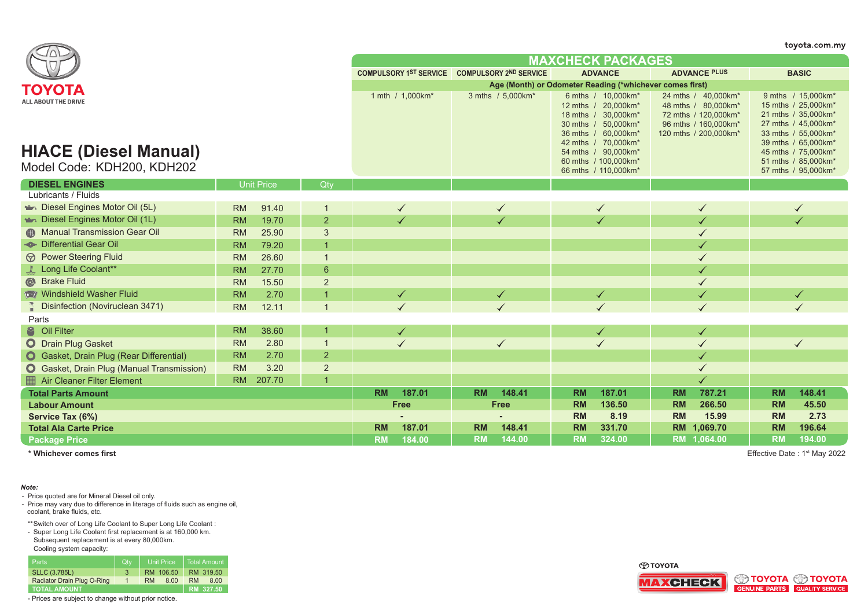|                                                                                   |                     |                |                                                          |                                               |                                                                                                                                                                                                              |                                                                                                                     | toyota.com.my                                                                                                                                                                                              |  |  |  |
|-----------------------------------------------------------------------------------|---------------------|----------------|----------------------------------------------------------|-----------------------------------------------|--------------------------------------------------------------------------------------------------------------------------------------------------------------------------------------------------------------|---------------------------------------------------------------------------------------------------------------------|------------------------------------------------------------------------------------------------------------------------------------------------------------------------------------------------------------|--|--|--|
|                                                                                   |                     |                |                                                          |                                               | <b>MAXCHECK PACKAGES</b>                                                                                                                                                                                     |                                                                                                                     |                                                                                                                                                                                                            |  |  |  |
|                                                                                   |                     |                |                                                          | COMPULSORY 1ST SERVICE COMPULSORY 2ND SERVICE | <b>ADVANCE</b>                                                                                                                                                                                               | <b>ADVANCE PLUS</b>                                                                                                 | <b>BASIC</b>                                                                                                                                                                                               |  |  |  |
| ΤΟΥΟΤΑ                                                                            |                     |                | Age (Month) or Odometer Reading (*whichever comes first) |                                               |                                                                                                                                                                                                              |                                                                                                                     |                                                                                                                                                                                                            |  |  |  |
| ALL ABOUT THE DRIVE<br><b>HIACE (Diesel Manual)</b><br>Model Code: KDH200, KDH202 |                     |                | 1 mth / 1,000km*                                         | 3 mths / 5,000km*                             | 6 mths / 10,000km*<br>12 mths / 20,000km*<br>18 mths / 30,000km*<br>30 mths / 50,000km*<br>36 mths / 60,000km*<br>42 mths / 70,000km*<br>54 mths / 90,000km*<br>60 mths / 100,000km*<br>66 mths / 110,000km* | 24 mths / 40,000km*<br>48 mths / 80,000km*<br>72 mths / 120,000km*<br>96 mths / 160,000km*<br>120 mths / 200,000km* | 9 mths / 15,000km*<br>15 mths / 25,000km*<br>21 mths / 35,000km*<br>27 mths / 45,000km*<br>33 mths / 55,000km*<br>39 mths / 65,000km*<br>45 mths / 75,000km*<br>51 mths / 85,000km*<br>57 mths / 95,000km* |  |  |  |
| <b>DIESEL ENGINES</b>                                                             | Unit Price          | Qty            |                                                          |                                               |                                                                                                                                                                                                              |                                                                                                                     |                                                                                                                                                                                                            |  |  |  |
| Lubricants / Fluids                                                               |                     |                |                                                          |                                               |                                                                                                                                                                                                              |                                                                                                                     |                                                                                                                                                                                                            |  |  |  |
| Diesel Engines Motor Oil (5L)                                                     | <b>RM</b><br>91.40  |                | $\checkmark$                                             | $\checkmark$                                  | $\checkmark$                                                                                                                                                                                                 | ✓                                                                                                                   | $\checkmark$                                                                                                                                                                                               |  |  |  |
| Diesel Engines Motor Oil (1L)                                                     | 19.70<br><b>RM</b>  | $\overline{2}$ |                                                          |                                               |                                                                                                                                                                                                              |                                                                                                                     |                                                                                                                                                                                                            |  |  |  |
| <b>A</b> Manual Transmission Gear Oil                                             | <b>RM</b><br>25.90  | 3              |                                                          |                                               |                                                                                                                                                                                                              |                                                                                                                     |                                                                                                                                                                                                            |  |  |  |
| - <sup>®</sup> Differential Gear Oil                                              | <b>RM</b><br>79.20  |                |                                                          |                                               |                                                                                                                                                                                                              |                                                                                                                     |                                                                                                                                                                                                            |  |  |  |
| <b>M</b> Power Steering Fluid                                                     | <b>RM</b><br>26.60  |                |                                                          |                                               |                                                                                                                                                                                                              |                                                                                                                     |                                                                                                                                                                                                            |  |  |  |
| Long Life Coolant**                                                               | 27.70<br><b>RM</b>  | 6              |                                                          |                                               |                                                                                                                                                                                                              | ✓                                                                                                                   |                                                                                                                                                                                                            |  |  |  |
| <sup>6</sup> Brake Fluid                                                          | <b>RM</b><br>15.50  | $\overline{2}$ |                                                          |                                               |                                                                                                                                                                                                              |                                                                                                                     |                                                                                                                                                                                                            |  |  |  |
| Windshield Washer Fluid                                                           | <b>RM</b><br>2.70   |                | $\checkmark$                                             | $\checkmark$                                  | $\checkmark$                                                                                                                                                                                                 |                                                                                                                     | $\checkmark$                                                                                                                                                                                               |  |  |  |
| Disinfection (Noviruclean 3471)                                                   | 12.11<br><b>RM</b>  |                |                                                          |                                               |                                                                                                                                                                                                              |                                                                                                                     |                                                                                                                                                                                                            |  |  |  |
| Parts                                                                             |                     |                |                                                          |                                               |                                                                                                                                                                                                              |                                                                                                                     |                                                                                                                                                                                                            |  |  |  |
| <sup>3</sup> Oil Filter                                                           | 38.60<br><b>RM</b>  |                | $\checkmark$                                             |                                               | $\checkmark$                                                                                                                                                                                                 | $\checkmark$                                                                                                        |                                                                                                                                                                                                            |  |  |  |
| O Drain Plug Gasket                                                               | <b>RM</b><br>2.80   |                | $\checkmark$                                             | $\checkmark$                                  | $\checkmark$                                                                                                                                                                                                 | $\checkmark$                                                                                                        | $\checkmark$                                                                                                                                                                                               |  |  |  |
| <b>O</b> Gasket, Drain Plug (Rear Differential)                                   | 2.70<br><b>RM</b>   | $\overline{2}$ |                                                          |                                               |                                                                                                                                                                                                              | ✓                                                                                                                   |                                                                                                                                                                                                            |  |  |  |
| <b>O</b> Gasket, Drain Plug (Manual Transmission)                                 | <b>RM</b><br>3.20   | $\overline{2}$ |                                                          |                                               |                                                                                                                                                                                                              |                                                                                                                     |                                                                                                                                                                                                            |  |  |  |
| Air Cleaner Filter Element                                                        | <b>RM</b><br>207.70 |                |                                                          |                                               |                                                                                                                                                                                                              |                                                                                                                     |                                                                                                                                                                                                            |  |  |  |
| <b>Total Parts Amount</b>                                                         |                     |                | 187.01<br><b>RM</b>                                      | 148.41<br><b>RM</b>                           | 187.01<br><b>RM</b>                                                                                                                                                                                          | 787.21<br><b>RM</b>                                                                                                 | 148.41<br><b>RM</b>                                                                                                                                                                                        |  |  |  |
| <b>Labour Amount</b>                                                              |                     |                | <b>Free</b>                                              | <b>Free</b>                                   | <b>RM</b><br>136.50                                                                                                                                                                                          | <b>RM</b><br>266.50                                                                                                 | 45.50<br><b>RM</b>                                                                                                                                                                                         |  |  |  |
| Service Tax (6%)                                                                  |                     |                |                                                          |                                               | <b>RM</b><br>8.19                                                                                                                                                                                            | <b>RM</b><br>15.99                                                                                                  | <b>RM</b><br>2.73                                                                                                                                                                                          |  |  |  |
| <b>Total Ala Carte Price</b>                                                      |                     |                | <b>RM</b><br>187.01                                      | 148.41<br><b>RM</b>                           | <b>RM</b><br>331.70                                                                                                                                                                                          | <b>RM</b><br>1,069.70                                                                                               | <b>RM</b><br>196.64                                                                                                                                                                                        |  |  |  |
| <b>Package Price</b>                                                              |                     |                | <b>RM</b><br>184.00                                      | <b>RM</b><br>144.00                           | <b>RM</b><br>324.00                                                                                                                                                                                          | RM 1,064.00                                                                                                         | <b>RM</b><br>194.00                                                                                                                                                                                        |  |  |  |

**\* Whichever comes first** Effective Date : 1st May 2022

*Note:*

- Price quoted are for Mineral Diesel oil only.

- Price may vary due to difference in literage of fluids such as engine oil, coolant, brake fluids, etc.

\*\*Switch over of Long Life Coolant to Super Long Life Coolant :

- Super Long Life Coolant first replacement is at 160,000 km.

Subsequent replacement is at every 80,000km.

Cooling system capacity:

| <b>Parts</b>               | Qtv |           | <b>Unit Price</b> |           | Total Amount |
|----------------------------|-----|-----------|-------------------|-----------|--------------|
| <b>SLLC (3.785L)</b>       | 3   |           | RM 106.50         |           | RM 319.50    |
| Radiator Drain Plug O-Ring |     | <b>RM</b> | 8.00              | <b>RM</b> | 8.00         |
| <b>TOTAL AMOUNT</b>        |     |           |                   |           | RM 327.50    |

- Prices are subject to change without prior notice.



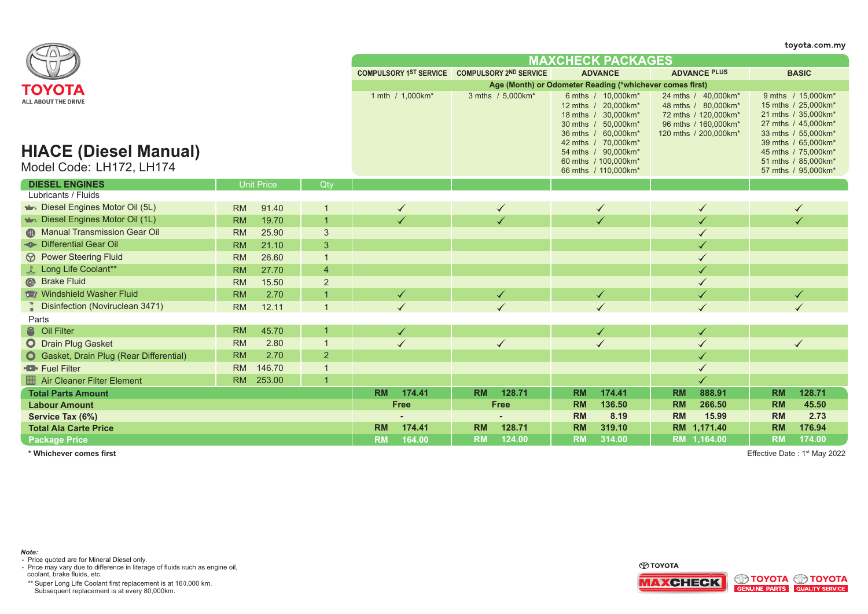|                                                                                           |                     |                |                                                          |                                               |                                                                                                                                                                                                              |                                                                                                                     | toyota.com.my                                                                                                                                                                                              |  |  |  |
|-------------------------------------------------------------------------------------------|---------------------|----------------|----------------------------------------------------------|-----------------------------------------------|--------------------------------------------------------------------------------------------------------------------------------------------------------------------------------------------------------------|---------------------------------------------------------------------------------------------------------------------|------------------------------------------------------------------------------------------------------------------------------------------------------------------------------------------------------------|--|--|--|
|                                                                                           |                     |                |                                                          |                                               | <b>MAXCHECK PACKAGES</b>                                                                                                                                                                                     |                                                                                                                     |                                                                                                                                                                                                            |  |  |  |
|                                                                                           |                     |                |                                                          | COMPULSORY 1ST SERVICE COMPULSORY 2ND SERVICE | <b>ADVANCE</b>                                                                                                                                                                                               | <b>ADVANCE PLUS</b>                                                                                                 | <b>BASIC</b>                                                                                                                                                                                               |  |  |  |
|                                                                                           |                     |                | Age (Month) or Odometer Reading (*whichever comes first) |                                               |                                                                                                                                                                                                              |                                                                                                                     |                                                                                                                                                                                                            |  |  |  |
| ΤΟΥΟΤΑ<br>ALL ABOUT THE DRIVE<br><b>HIACE (Diesel Manual)</b><br>Model Code: LH172, LH174 |                     |                | 1 mth / 1,000km*                                         | 3 mths / 5,000km*                             | 6 mths / 10,000km*<br>12 mths / 20,000km*<br>18 mths / 30,000km*<br>30 mths / 50,000km*<br>36 mths / 60,000km*<br>42 mths / 70,000km*<br>54 mths / 90,000km*<br>60 mths / 100,000km*<br>66 mths / 110,000km* | 24 mths / 40,000km*<br>48 mths / 80,000km*<br>72 mths / 120,000km*<br>96 mths / 160,000km*<br>120 mths / 200,000km* | 9 mths / 15,000km*<br>15 mths / 25,000km*<br>21 mths / 35,000km*<br>27 mths / 45,000km*<br>33 mths / 55,000km*<br>39 mths / 65,000km*<br>45 mths / 75,000km*<br>51 mths / 85,000km*<br>57 mths / 95,000km* |  |  |  |
| <b>DIESEL ENGINES</b>                                                                     | <b>Unit Price</b>   | Qty            |                                                          |                                               |                                                                                                                                                                                                              |                                                                                                                     |                                                                                                                                                                                                            |  |  |  |
| Lubricants / Fluids                                                                       |                     |                |                                                          |                                               |                                                                                                                                                                                                              |                                                                                                                     |                                                                                                                                                                                                            |  |  |  |
| Diesel Engines Motor Oil (5L)                                                             | <b>RM</b><br>91.40  | -1             | $\checkmark$                                             | $\checkmark$                                  | $\checkmark$                                                                                                                                                                                                 | $\checkmark$                                                                                                        | $\checkmark$                                                                                                                                                                                               |  |  |  |
| Diesel Engines Motor Oil (1L)                                                             | 19.70<br><b>RM</b>  | $\overline{1}$ | ✓                                                        |                                               |                                                                                                                                                                                                              |                                                                                                                     |                                                                                                                                                                                                            |  |  |  |
| <b>A Manual Transmission Gear Oil</b>                                                     | <b>RM</b><br>25.90  | 3              |                                                          |                                               |                                                                                                                                                                                                              |                                                                                                                     |                                                                                                                                                                                                            |  |  |  |
| <b>- Differential Gear Oil</b>                                                            | <b>RM</b><br>21.10  | 3              |                                                          |                                               |                                                                                                                                                                                                              |                                                                                                                     |                                                                                                                                                                                                            |  |  |  |
| <b><i>S</i></b> Power Steering Fluid                                                      | <b>RM</b><br>26.60  | $\overline{1}$ |                                                          |                                               |                                                                                                                                                                                                              |                                                                                                                     |                                                                                                                                                                                                            |  |  |  |
| Long Life Coolant**                                                                       | 27.70<br><b>RM</b>  | $\overline{4}$ |                                                          |                                               |                                                                                                                                                                                                              | ✓                                                                                                                   |                                                                                                                                                                                                            |  |  |  |
| Strake Fluid                                                                              | <b>RM</b><br>15.50  | $\overline{2}$ |                                                          |                                               |                                                                                                                                                                                                              |                                                                                                                     |                                                                                                                                                                                                            |  |  |  |
| Windshield Washer Fluid                                                                   | <b>RM</b><br>2.70   | $\mathbf 1$    | $\blacktriangledown$                                     | $\checkmark$                                  | $\checkmark$                                                                                                                                                                                                 | $\checkmark$                                                                                                        | $\checkmark$                                                                                                                                                                                               |  |  |  |
| <b>Disinfection (Noviruclean 3471)</b>                                                    | 12.11<br><b>RM</b>  |                |                                                          |                                               |                                                                                                                                                                                                              |                                                                                                                     |                                                                                                                                                                                                            |  |  |  |
| Parts                                                                                     |                     |                |                                                          |                                               |                                                                                                                                                                                                              |                                                                                                                     |                                                                                                                                                                                                            |  |  |  |
| <sup>8</sup> Oil Filter                                                                   | <b>RM</b><br>45.70  |                | $\checkmark$                                             |                                               | $\checkmark$                                                                                                                                                                                                 | ✓                                                                                                                   |                                                                                                                                                                                                            |  |  |  |
| O Drain Plug Gasket                                                                       | <b>RM</b><br>2.80   | $\overline{1}$ |                                                          |                                               | $\checkmark$                                                                                                                                                                                                 |                                                                                                                     | $\checkmark$                                                                                                                                                                                               |  |  |  |
| <b>O</b> Gasket, Drain Plug (Rear Differential)                                           | 2.70<br><b>RM</b>   | $\overline{2}$ |                                                          |                                               |                                                                                                                                                                                                              |                                                                                                                     |                                                                                                                                                                                                            |  |  |  |
| <b>D</b> Fuel Filter                                                                      | <b>RM</b><br>146.70 | $\overline{1}$ |                                                          |                                               |                                                                                                                                                                                                              |                                                                                                                     |                                                                                                                                                                                                            |  |  |  |
| <b>Air Cleaner Filter Element</b>                                                         | 253.00<br><b>RM</b> |                |                                                          |                                               |                                                                                                                                                                                                              |                                                                                                                     |                                                                                                                                                                                                            |  |  |  |
| <b>Total Parts Amount</b>                                                                 |                     |                | <b>RM</b><br>174.41                                      | <b>RM</b><br>128.71                           | 174.41<br><b>RM</b>                                                                                                                                                                                          | 888.91<br><b>RM</b>                                                                                                 | <b>RM</b><br>128.71                                                                                                                                                                                        |  |  |  |
| <b>Labour Amount</b>                                                                      |                     |                | <b>Free</b>                                              | <b>Free</b>                                   | <b>RM</b><br>136.50                                                                                                                                                                                          | 266.50<br><b>RM</b>                                                                                                 | <b>RM</b><br>45.50                                                                                                                                                                                         |  |  |  |
| Service Tax (6%)                                                                          |                     |                |                                                          |                                               | <b>RM</b><br>8.19                                                                                                                                                                                            | <b>RM</b><br>15.99                                                                                                  | <b>RM</b><br>2.73                                                                                                                                                                                          |  |  |  |
| <b>Total Ala Carte Price</b>                                                              |                     |                | 174.41<br><b>RM</b>                                      | <b>RM</b><br>128.71                           | <b>RM</b><br>319.10                                                                                                                                                                                          | RM 1,171.40                                                                                                         | <b>RM</b><br>176.94                                                                                                                                                                                        |  |  |  |
| <b>Package Price</b>                                                                      |                     |                | 164.00<br><b>RM</b>                                      | 124.00<br><b>RM</b>                           | <b>RM</b><br>314.00                                                                                                                                                                                          | RM 1.164.00                                                                                                         | <b>RM</b><br>174.00                                                                                                                                                                                        |  |  |  |

**\* Whichever comes first** Effective Date : 1st May 2022

*Note:* - Price quoted are for Mineral Diesel only.

- Price may vary due to difference in literage of fluids such as engine oil, coolant, brake fluids, etc.

\*\* Super Long Life Coolant first replacement is at 160,000 km. Subsequent replacement is at every 80,000km.

⊕тоүотд